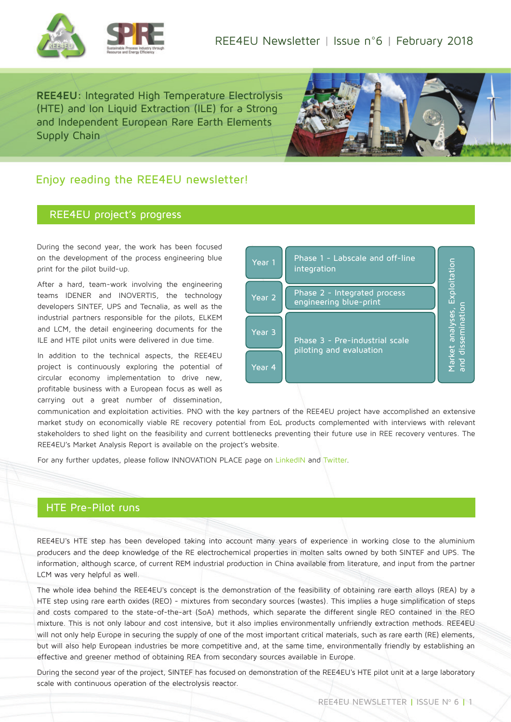

**REE4EU:** Integrated High Temperature Electrolysis (HTE) and Ion Liquid Extraction (ILE) for a Strong and Independent European Rare Earth Elements Supply Chain



## Enjoy reading the REE4EU newsletter!

#### REE4EU project's progress

During the second year, the work has been focused on the development of the process engineering blue print for the pilot build-up.

After a hard, team-work involving the engineering teams IDENER and INOVERTIS, the technology developers SINTEF, UPS and Tecnalia, as well as the industrial partners responsible for the pilots, ELKEM and LCM, the detail engineering documents for the ILE and HTE pilot units were delivered in due time.

In addition to the technical aspects, the REE4EU project is continuously exploring the potential of circular economy implementation to drive new, profitable business with a European focus as well as carrying out a great number of dissemination,

| Year 1            | Phase 1 - Labscale and off-line<br>integration            | kploitation                                             |
|-------------------|-----------------------------------------------------------|---------------------------------------------------------|
| Year <sub>2</sub> | Phase 2 - Integrated process<br>engineering blue-print    | disseminatio<br>analyses,<br><b>Market</b><br><b>Du</b> |
| Year <sub>3</sub> | Phase 3 - Pre-industrial scale<br>piloting and evaluation |                                                         |
| Year <sub>4</sub> |                                                           |                                                         |

communication and exploitation activities. PNO with the key partners of the REE4EU project have accomplished an extensive market study on economically viable RE recovery potential from EoL products complemented with interviews with relevant stakeholders to shed light on the feasibility and current bottlenecks preventing their future use in REE recovery ventures. The REE4EU's Market Analysis Report is available on the project's website.

For any further updates, please follow INNOVATION PLACE page on [LinkedIN](https://www.linkedin.com/company/innovation-place/) and [Twitter.](https://twitter.com/INNOVATION_PL)

### HTE Pre-Pilot runs

REE4EU's HTE step has been developed taking into account many years of experience in working close to the aluminium producers and the deep knowledge of the RE electrochemical properties in molten salts owned by both SINTEF and UPS. The information, although scarce, of current REM industrial production in China available from literature, and input from the partner LCM was very helpful as well.

The whole idea behind the REE4EU's concept is the demonstration of the feasibility of obtaining rare earth alloys (REA) by a HTE step using rare earth oxides (REO) - mixtures from secondary sources (wastes). This implies a huge simplification of steps and costs compared to the state-of-the-art (SoA) methods, which separate the different single REO contained in the REO mixture. This is not only labour and cost intensive, but it also implies environmentally unfriendly extraction methods. REE4EU will not only help Europe in securing the supply of one of the most important critical materials, such as rare earth (RE) elements, but will also help European industries be more competitive and, at the same time, environmentally friendly by establishing an effective and greener method of obtaining REA from secondary sources available in Europe.

During the second year of the project, SINTEF has focused on demonstration of the REE4EU's HTE pilot unit at a large laboratory scale with continuous operation of the electrolysis reactor.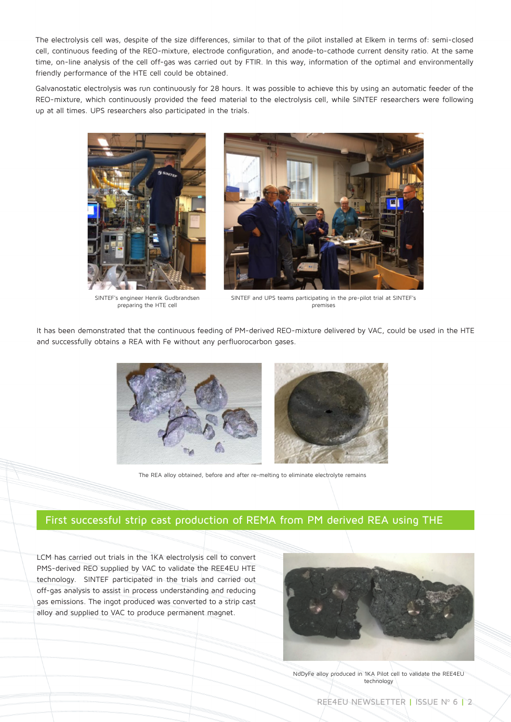The electrolysis cell was, despite of the size differences, similar to that of the pilot installed at Elkem in terms of: semi-closed cell, continuous feeding of the REO-mixture, electrode configuration, and anode-to-cathode current density ratio. At the same time, on-line analysis of the cell off-gas was carried out by FTIR. In this way, information of the optimal and environmentally friendly performance of the HTE cell could be obtained.

Galvanostatic electrolysis was run continuously for 28 hours. It was possible to achieve this by using an automatic feeder of the REO-mixture, which continuously provided the feed material to the electrolysis cell, while SINTEF researchers were following up at all times. UPS researchers also participated in the trials.



SINTEF's engineer Henrik Gudbrandsen preparing the HTE cell



SINTEF and UPS teams participating in the pre-pilot trial at SINTEF's premises

It has been demonstrated that the continuous feeding of PM-derived REO-mixture delivered by VAC, could be used in the HTE and successfully obtains a REA with Fe without any perfluorocarbon gases.



The REA alloy obtained, before and after re-melting to eliminate electrolyte remains

### First successful strip cast production of REMA from PM derived REA using THE

LCM has carried out trials in the 1KA electrolysis cell to convert PMS-derived REO supplied by VAC to validate the REE4EU HTE technology. SINTEF participated in the trials and carried out off-gas analysis to assist in process understanding and reducing gas emissions. The ingot produced was converted to a strip cast alloy and supplied to VAC to produce permanent magnet.



NdDyFe alloy produced in 1KA Pilot cell to validate the REE4EU technology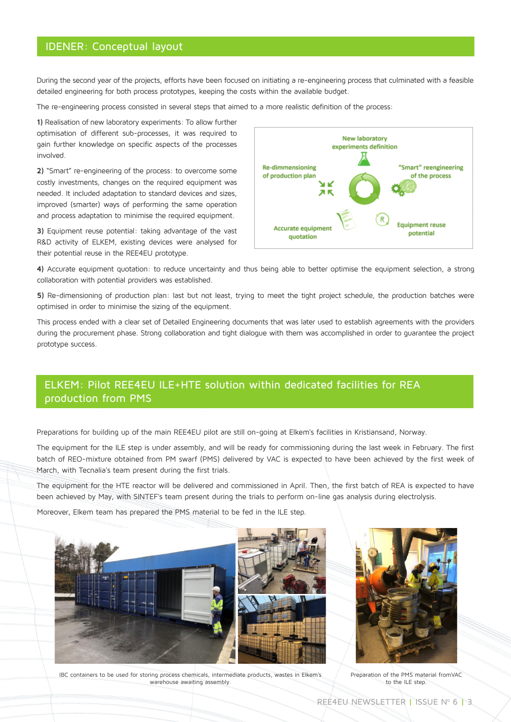### IDENER: Conceptual layout

During the second year of the projects, efforts have been focused on initiating a re-engineering process that culminated with a feasible detailed engineering for both process prototypes, keeping the costs within the available budget.

The re-engineering process consisted in several steps that aimed to a more realistic definition of the process:

**1)** Realisation of new laboratory experiments: To allow further optimisation of different sub-processes, it was required to gain further knowledge on specific aspects of the processes involved.

**2)** "Smart" re-engineering of the process: to overcome some costly investments, changes on the required equipment was needed. It included adaptation to standard devices and sizes, improved (smarter) ways of performing the same operation and process adaptation to minimise the required equipment.

**3)** Equipment reuse potential: taking advantage of the vast R&D activity of ELKEM, existing devices were analysed for their potential reuse in the REE4EU prototype.



**4)** Accurate equipment quotation: to reduce uncertainty and thus being able to better optimise the equipment selection, a strong collaboration with potential providers was established.

**5)** Re-dimensioning of production plan: last but not least, trying to meet the tight project schedule, the production batches were optimised in order to minimise the sizing of the equipment.

This process ended with a clear set of Detailed Engineering documents that was later used to establish agreements with the providers during the procurement phase. Strong collaboration and tight dialogue with them was accomplished in order to guarantee the project prototype success.

# ELKEM: Pilot REE4EU ILE+HTE solution within dedicated facilities for REA production from PMS

Preparations for building up of the main REE4EU pilot are still on-going at Elkem's facilities in Kristiansand, Norway.

The equipment for the ILE step is under assembly, and will be ready for commissioning during the last week in February. The first batch of REO-mixture obtained from PM swarf (PMS) delivered by VAC is expected to have been achieved by the first week of March, with Tecnalia's team present during the first trials.

The equipment for the HTE reactor will be delivered and commissioned in April. Then, the first batch of REA is expected to have been achieved by May, with SINTEF's team present during the trials to perform on-line gas analysis during electrolysis.

Moreover, Elkem team has prepared the PMS material to be fed in the ILE step.





IBC containers to be used for storing process chemicals, intermediate products, wastes in Elkem's warehouse awaiting assembly.

Preparation of the PMS material fromVAC to the ILE step.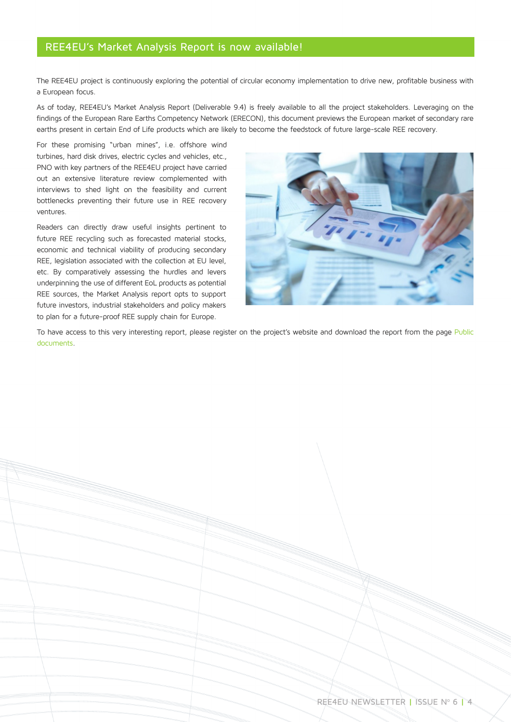## REE4EU's Market Analysis Report is now available!

The REE4EU project is continuously exploring the potential of circular economy implementation to drive new, profitable business with a European focus.

As of today, REE4EU's Market Analysis Report (Deliverable 9.4) is freely available to all the project stakeholders. Leveraging on the findings of the European Rare Earths Competency Network (ERECON), this document previews the European market of secondary rare earths present in certain End of Life products which are likely to become the feedstock of future large-scale REE recovery.

For these promising "urban mines", i.e. offshore wind turbines, hard disk drives, electric cycles and vehicles, etc., PNO with key partners of the REE4EU project have carried out an extensive literature review complemented with interviews to shed light on the feasibility and current bottlenecks preventing their future use in REE recovery ventures.

Readers can directly draw useful insights pertinent to future REE recycling such as forecasted material stocks, economic and technical viability of producing secondary REE, legislation associated with the collection at EU level, etc. By comparatively assessing the hurdles and levers underpinning the use of different EoL products as potential REE sources, the Market Analysis report opts to support future investors, industrial stakeholders and policy makers to plan for a future-proof REE supply chain for Europe.



To have access to this very interesting report, please register on the project's website and download the report from the page Public [documents.](http://www.ree4eu.eu/public-documents/)